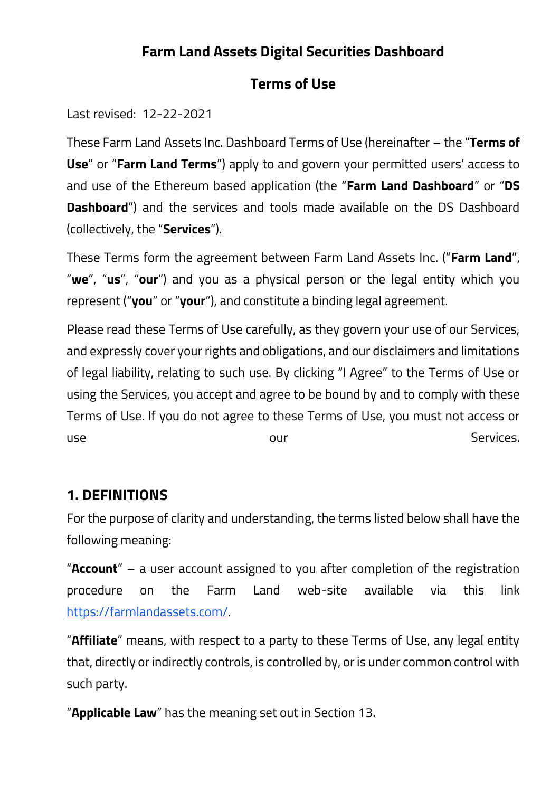## **Farm Land Assets Digital Securities Dashboard**

#### **Terms of Use**

Last revised: 12-22-2021

These Farm Land Assets Inc. Dashboard Terms of Use (hereinafter – the "**Terms of Use**" or "**Farm Land Terms**") apply to and govern your permitted users' access to and use of the Ethereum based application (the "**Farm Land Dashboard**" or "**DS Dashboard**") and the services and tools made available on the DS Dashboard (collectively, the "**Services**").

These Terms form the agreement between Farm Land Assets Inc. ("**Farm Land**", "**we**", "**us**", "**our**") and you as a physical person or the legal entity which you represent ("**you**" or "**your**"), and constitute a binding legal agreement.

Please read these Terms of Use carefully, as they govern your use of our Services, and expressly cover your rights and obligations, and our disclaimers and limitations of legal liability, relating to such use. By clicking "I Agree" to the Terms of Use or using the Services, you accept and agree to be bound by and to comply with these Terms of Use. If you do not agree to these Terms of Use, you must not access or use state our contract our contract our services.

### **1. DEFINITIONS**

For the purpose of clarity and understanding, the terms listed below shall have the following meaning:

"**Account**" – a user account assigned to you after completion of the registration procedure on the Farm Land web-site available via this link [https://farmlandassets.com/.](https://farmlandassets.com/)

"**Affiliate**" means, with respect to a party to these Terms of Use, any legal entity that, directly or indirectly controls, is controlled by, or is under common control with such party.

"**Applicable Law**" has the meaning set out in Section 13.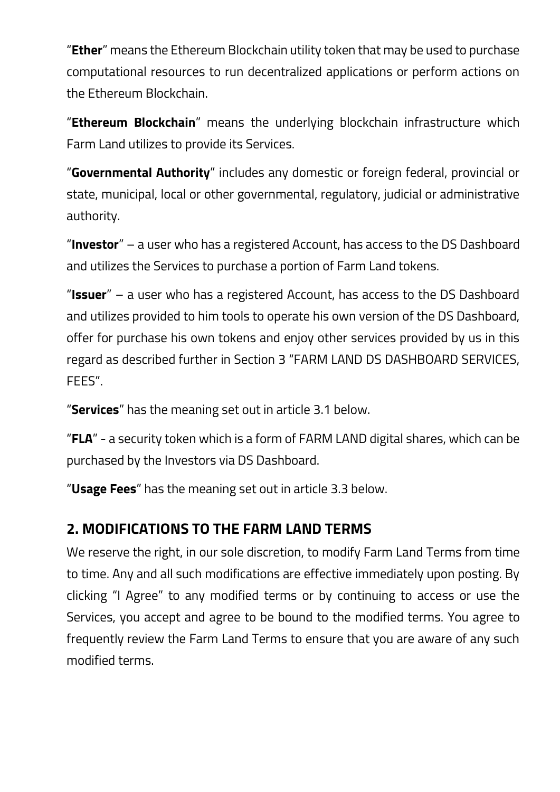"**Ether**" means the Ethereum Blockchain utility token that may be used to purchase computational resources to run decentralized applications or perform actions on the Ethereum Blockchain.

"**Ethereum Blockchain**" means the underlying blockchain infrastructure which Farm Land utilizes to provide its Services.

"**Governmental Authority**" includes any domestic or foreign federal, provincial or state, municipal, local or other governmental, regulatory, judicial or administrative authority.

"**Investor**" – a user who has a registered Account, has access to the DS Dashboard and utilizes the Services to purchase a portion of Farm Land tokens.

"**Issuer**" – a user who has a registered Account, has access to the DS Dashboard and utilizes provided to him tools to operate his own version of the DS Dashboard, offer for purchase his own tokens and enjoy other services provided by us in this regard as described further in Section 3 "FARM LAND DS DASHBOARD SERVICES, FEES".

"**Services**" has the meaning set out in article 3.1 below.

"**FLA**" - a security token which is a form of FARM LAND digital shares, which can be purchased by the Investors via DS Dashboard.

"**Usage Fees**" has the meaning set out in article 3.3 below.

### **2. MODIFICATIONS TO THE FARM LAND TERMS**

We reserve the right, in our sole discretion, to modify Farm Land Terms from time to time. Any and all such modifications are effective immediately upon posting. By clicking "I Agree" to any modified terms or by continuing to access or use the Services, you accept and agree to be bound to the modified terms. You agree to frequently review the Farm Land Terms to ensure that you are aware of any such modified terms.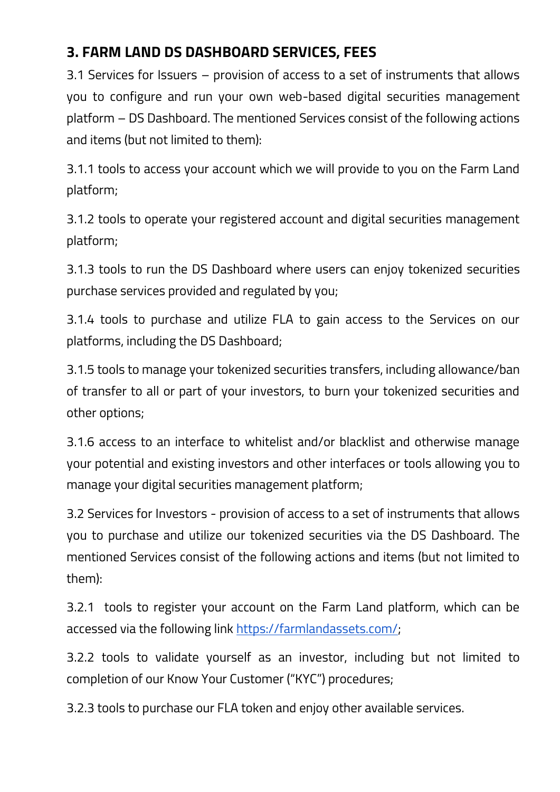# **3. FARM LAND DS DASHBOARD SERVICES, FEES**

3.1 Services for Issuers – provision of access to a set of instruments that allows you to configure and run your own web-based digital securities management platform – DS Dashboard. The mentioned Services consist of the following actions and items (but not limited to them):

3.1.1 tools to access your account which we will provide to you on the Farm Land platform;

3.1.2 tools to operate your registered account and digital securities management platform;

3.1.3 tools to run the DS Dashboard where users can enjoy tokenized securities purchase services provided and regulated by you;

3.1.4 tools to purchase and utilize FLA to gain access to the Services on our platforms, including the DS Dashboard;

3.1.5 tools to manage your tokenized securities transfers, including allowance/ban of transfer to all or part of your investors, to burn your tokenized securities and other options;

3.1.6 access to an interface to whitelist and/or blacklist and otherwise manage your potential and existing investors and other interfaces or tools allowing you to manage your digital securities management platform;

3.2 Services for Investors - provision of access to a set of instruments that allows you to purchase and utilize our tokenized securities via the DS Dashboard. The mentioned Services consist of the following actions and items (but not limited to them):

3.2.1 tools to register your account on the Farm Land platform, which can be accessed via the following link [https://farmlandassets.com/;](https://farmlandassets.com/)

3.2.2 tools to validate yourself as an investor, including but not limited to completion of our Know Your Customer ("KYC") procedures;

3.2.3 tools to purchase our FLA token and enjoy other available services.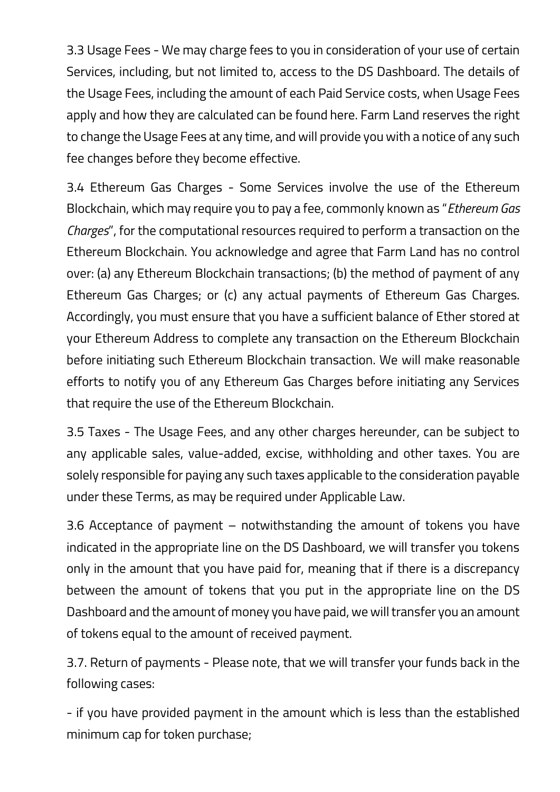3.3 Usage Fees - We may charge fees to you in consideration of your use of certain Services, including, but not limited to, access to the DS Dashboard. The details of the Usage Fees, including the amount of each Paid Service costs, when Usage Fees apply and how they are calculated can be found here. Farm Land reserves the right to change the Usage Fees at any time, and will provide you with a notice of any such fee changes before they become effective.

3.4 Ethereum Gas Charges - Some Services involve the use of the Ethereum Blockchain, which may require you to pay a fee, commonly known as "*Ethereum Gas Charges*", for the computational resources required to perform a transaction on the Ethereum Blockchain. You acknowledge and agree that Farm Land has no control over: (a) any Ethereum Blockchain transactions; (b) the method of payment of any Ethereum Gas Charges; or (c) any actual payments of Ethereum Gas Charges. Accordingly, you must ensure that you have a sufficient balance of Ether stored at your Ethereum Address to complete any transaction on the Ethereum Blockchain before initiating such Ethereum Blockchain transaction. We will make reasonable efforts to notify you of any Ethereum Gas Charges before initiating any Services that require the use of the Ethereum Blockchain.

3.5 Taxes - The Usage Fees, and any other charges hereunder, can be subject to any applicable sales, value-added, excise, withholding and other taxes. You are solely responsible for paying any such taxes applicable to the consideration payable under these Terms, as may be required under Applicable Law.

3.6 Acceptance of payment – notwithstanding the amount of tokens you have indicated in the appropriate line on the DS Dashboard, we will transfer you tokens only in the amount that you have paid for, meaning that if there is a discrepancy between the amount of tokens that you put in the appropriate line on the DS Dashboard and the amount of money you have paid, we will transfer you an amount of tokens equal to the amount of received payment.

3.7. Return of payments - Please note, that we will transfer your funds back in the following cases:

- if you have provided payment in the amount which is less than the established minimum cap for token purchase;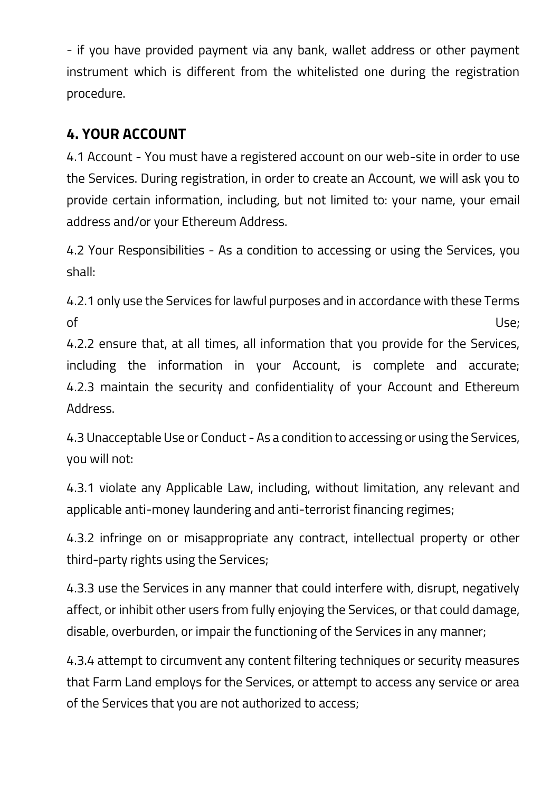- if you have provided payment via any bank, wallet address or other payment instrument which is different from the whitelisted one during the registration procedure.

# **4. YOUR ACCOUNT**

4.1 Account - You must have a registered account on our web-site in order to use the Services. During registration, in order to create an Account, we will ask you to provide certain information, including, but not limited to: your name, your email address and/or your Ethereum Address.

4.2 Your Responsibilities - As a condition to accessing or using the Services, you shall:

4.2.1 only use the Services for lawful purposes and in accordance with these Terms of the contract of the contract of the contract of the contract of the contract of the contract of the contract of the contract of the contract of the contract of the contract of the contract of the contract of the contrac

4.2.2 ensure that, at all times, all information that you provide for the Services, including the information in your Account, is complete and accurate; 4.2.3 maintain the security and confidentiality of your Account and Ethereum Address.

4.3 Unacceptable Use or Conduct - As a condition to accessing or using the Services, you will not:

4.3.1 violate any Applicable Law, including, without limitation, any relevant and applicable anti-money laundering and anti-terrorist financing regimes;

4.3.2 infringe on or misappropriate any contract, intellectual property or other third-party rights using the Services;

4.3.3 use the Services in any manner that could interfere with, disrupt, negatively affect, or inhibit other users from fully enjoying the Services, or that could damage, disable, overburden, or impair the functioning of the Services in any manner;

4.3.4 attempt to circumvent any content filtering techniques or security measures that Farm Land employs for the Services, or attempt to access any service or area of the Services that you are not authorized to access;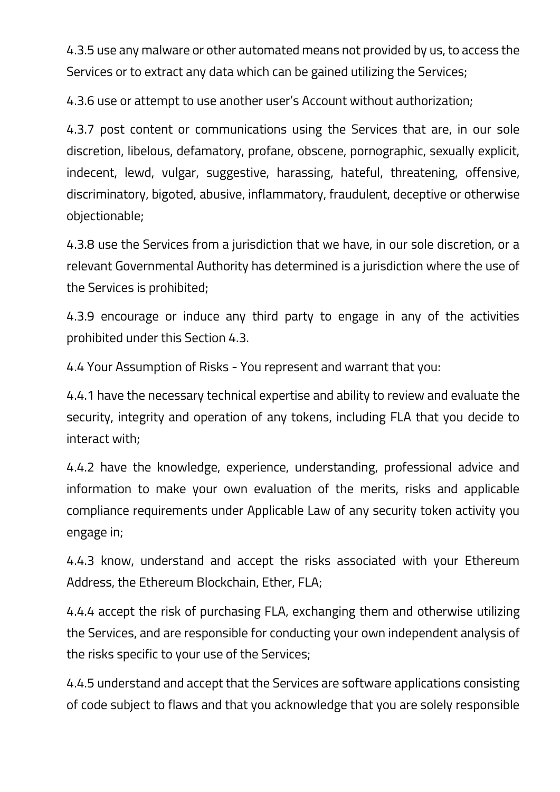4.3.5 use any malware or other automated means not provided by us, to access the Services or to extract any data which can be gained utilizing the Services;

4.3.6 use or attempt to use another user's Account without authorization;

4.3.7 post content or communications using the Services that are, in our sole discretion, libelous, defamatory, profane, obscene, pornographic, sexually explicit, indecent, lewd, vulgar, suggestive, harassing, hateful, threatening, offensive, discriminatory, bigoted, abusive, inflammatory, fraudulent, deceptive or otherwise objectionable;

4.3.8 use the Services from a jurisdiction that we have, in our sole discretion, or a relevant Governmental Authority has determined is a jurisdiction where the use of the Services is prohibited;

4.3.9 encourage or induce any third party to engage in any of the activities prohibited under this Section 4.3.

4.4 Your Assumption of Risks - You represent and warrant that you:

4.4.1 have the necessary technical expertise and ability to review and evaluate the security, integrity and operation of any tokens, including FLA that you decide to interact with;

4.4.2 have the knowledge, experience, understanding, professional advice and information to make your own evaluation of the merits, risks and applicable compliance requirements under Applicable Law of any security token activity you engage in;

4.4.3 know, understand and accept the risks associated with your Ethereum Address, the Ethereum Blockchain, Ether, FLA;

4.4.4 accept the risk of purchasing FLA, exchanging them and otherwise utilizing the Services, and are responsible for conducting your own independent analysis of the risks specific to your use of the Services;

4.4.5 understand and accept that the Services are software applications consisting of code subject to flaws and that you acknowledge that you are solely responsible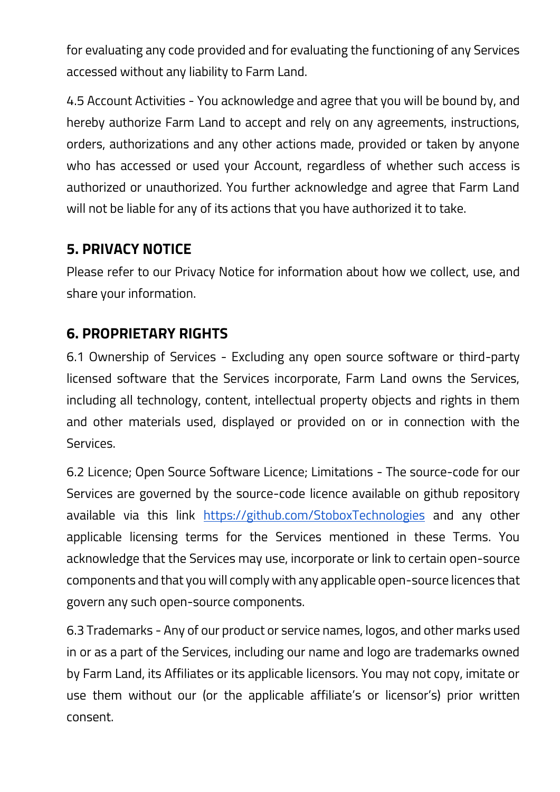for evaluating any code provided and for evaluating the functioning of any Services accessed without any liability to Farm Land.

4.5 Account Activities - You acknowledge and agree that you will be bound by, and hereby authorize Farm Land to accept and rely on any agreements, instructions, orders, authorizations and any other actions made, provided or taken by anyone who has accessed or used your Account, regardless of whether such access is authorized or unauthorized. You further acknowledge and agree that Farm Land will not be liable for any of its actions that you have authorized it to take.

### **5. PRIVACY NOTICE**

Please refer to our Privacy Notice for information about how we collect, use, and share your information.

### **6. PROPRIETARY RIGHTS**

6.1 Ownership of Services - Excluding any open source software or third-party licensed software that the Services incorporate, Farm Land owns the Services, including all technology, content, intellectual property objects and rights in them and other materials used, displayed or provided on or in connection with the Services.

6.2 Licence; Open Source Software Licence; Limitations - The source-code for our Services are governed by the source-code licence available on github repository available via this link <https://github.com/StoboxTechnologies> and any other applicable licensing terms for the Services mentioned in these Terms. You acknowledge that the Services may use, incorporate or link to certain open-source components and that you will comply with any applicable open-source licences that govern any such open-source components.

6.3 Trademarks - Any of our product or service names, logos, and other marks used in or as a part of the Services, including our name and logo are trademarks owned by Farm Land, its Affiliates or its applicable licensors. You may not copy, imitate or use them without our (or the applicable affiliate's or licensor's) prior written consent.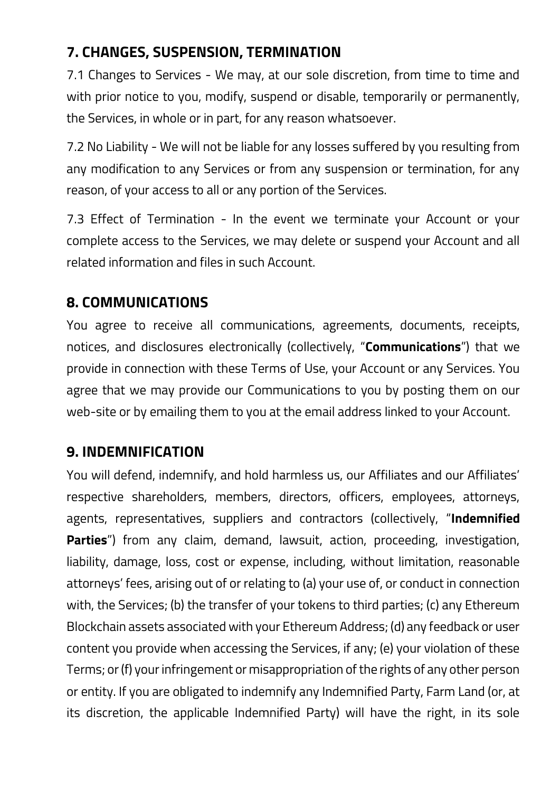# **7. CHANGES, SUSPENSION, TERMINATION**

7.1 Changes to Services - We may, at our sole discretion, from time to time and with prior notice to you, modify, suspend or disable, temporarily or permanently, the Services, in whole or in part, for any reason whatsoever.

7.2 No Liability - We will not be liable for any losses suffered by you resulting from any modification to any Services or from any suspension or termination, for any reason, of your access to all or any portion of the Services.

7.3 Effect of Termination - In the event we terminate your Account or your complete access to the Services, we may delete or suspend your Account and all related information and files in such Account.

### **8. COMMUNICATIONS**

You agree to receive all communications, agreements, documents, receipts, notices, and disclosures electronically (collectively, "**Communications**") that we provide in connection with these Terms of Use, your Account or any Services. You agree that we may provide our Communications to you by posting them on our web-site or by emailing them to you at the email address linked to your Account.

# **9. INDEMNIFICATION**

You will defend, indemnify, and hold harmless us, our Affiliates and our Affiliates' respective shareholders, members, directors, officers, employees, attorneys, agents, representatives, suppliers and contractors (collectively, "**Indemnified Parties**") from any claim, demand, lawsuit, action, proceeding, investigation, liability, damage, loss, cost or expense, including, without limitation, reasonable attorneys' fees, arising out of or relating to (a) your use of, or conduct in connection with, the Services; (b) the transfer of your tokens to third parties; (c) any Ethereum Blockchain assets associated with your Ethereum Address; (d) any feedback or user content you provide when accessing the Services, if any; (e) your violation of these Terms; or (f) your infringement or misappropriation of the rights of any other person or entity. If you are obligated to indemnify any Indemnified Party, Farm Land (or, at its discretion, the applicable Indemnified Party) will have the right, in its sole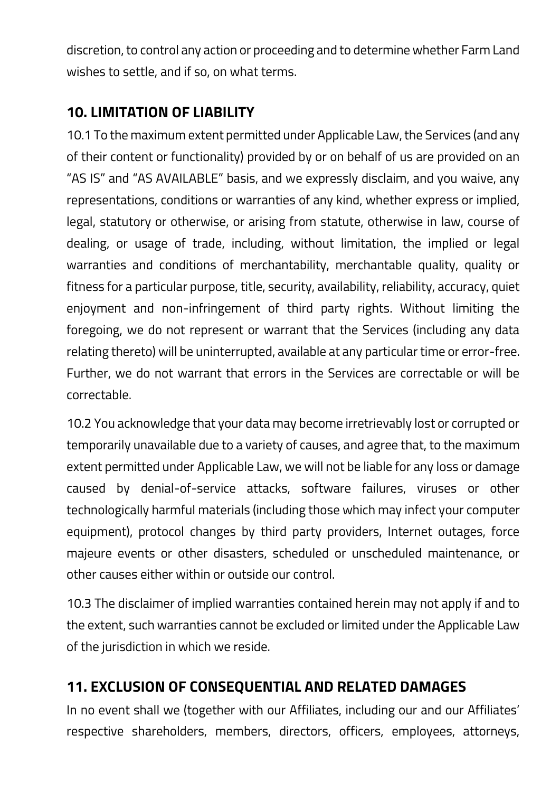discretion, to control any action or proceeding and to determine whether Farm Land wishes to settle, and if so, on what terms.

# **10. LIMITATION OF LIABILITY**

10.1 To the maximum extent permitted under Applicable Law, the Services (and any of their content or functionality) provided by or on behalf of us are provided on an "AS IS" and "AS AVAILABLE" basis, and we expressly disclaim, and you waive, any representations, conditions or warranties of any kind, whether express or implied, legal, statutory or otherwise, or arising from statute, otherwise in law, course of dealing, or usage of trade, including, without limitation, the implied or legal warranties and conditions of merchantability, merchantable quality, quality or fitness for a particular purpose, title, security, availability, reliability, accuracy, quiet enjoyment and non-infringement of third party rights. Without limiting the foregoing, we do not represent or warrant that the Services (including any data relating thereto) will be uninterrupted, available at any particular time or error-free. Further, we do not warrant that errors in the Services are correctable or will be correctable.

10.2 You acknowledge that your data may become irretrievably lost or corrupted or temporarily unavailable due to a variety of causes, and agree that, to the maximum extent permitted under Applicable Law, we will not be liable for any loss or damage caused by denial-of-service attacks, software failures, viruses or other technologically harmful materials (including those which may infect your computer equipment), protocol changes by third party providers, Internet outages, force majeure events or other disasters, scheduled or unscheduled maintenance, or other causes either within or outside our control.

10.3 The disclaimer of implied warranties contained herein may not apply if and to the extent, such warranties cannot be excluded or limited under the Applicable Law of the jurisdiction in which we reside.

# **11. EXCLUSION OF CONSEQUENTIAL AND RELATED DAMAGES**

In no event shall we (together with our Affiliates, including our and our Affiliates' respective shareholders, members, directors, officers, employees, attorneys,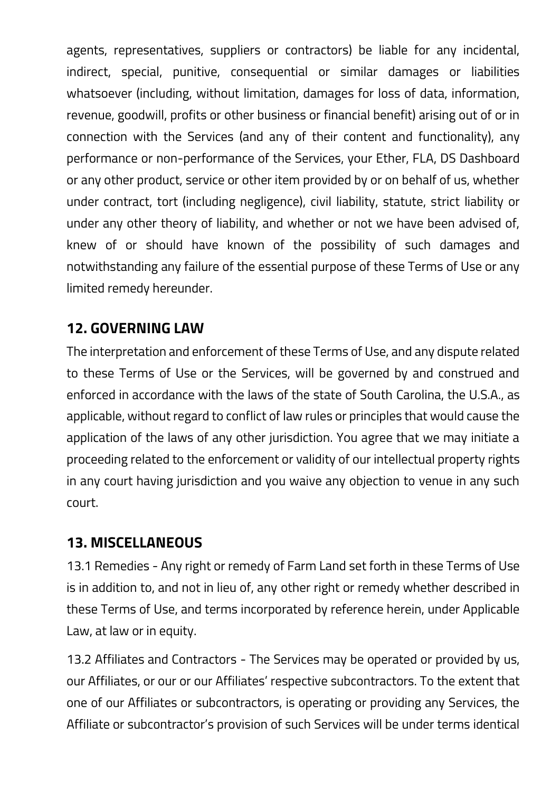agents, representatives, suppliers or contractors) be liable for any incidental, indirect, special, punitive, consequential or similar damages or liabilities whatsoever (including, without limitation, damages for loss of data, information, revenue, goodwill, profits or other business or financial benefit) arising out of or in connection with the Services (and any of their content and functionality), any performance or non-performance of the Services, your Ether, FLA, DS Dashboard or any other product, service or other item provided by or on behalf of us, whether under contract, tort (including negligence), civil liability, statute, strict liability or under any other theory of liability, and whether or not we have been advised of, knew of or should have known of the possibility of such damages and notwithstanding any failure of the essential purpose of these Terms of Use or any limited remedy hereunder.

# **12. GOVERNING LAW**

The interpretation and enforcement of these Terms of Use, and any dispute related to these Terms of Use or the Services, will be governed by and construed and enforced in accordance with the laws of the state of South Carolina, the U.S.A., as applicable, without regard to conflict of law rules or principles that would cause the application of the laws of any other jurisdiction. You agree that we may initiate a proceeding related to the enforcement or validity of our intellectual property rights in any court having jurisdiction and you waive any objection to venue in any such court.

### **13. MISCELLANEOUS**

13.1 Remedies - Any right or remedy of Farm Land set forth in these Terms of Use is in addition to, and not in lieu of, any other right or remedy whether described in these Terms of Use, and terms incorporated by reference herein, under Applicable Law, at law or in equity.

13.2 Affiliates and Contractors - The Services may be operated or provided by us, our Affiliates, or our or our Affiliates' respective subcontractors. To the extent that one of our Affiliates or subcontractors, is operating or providing any Services, the Affiliate or subcontractor's provision of such Services will be under terms identical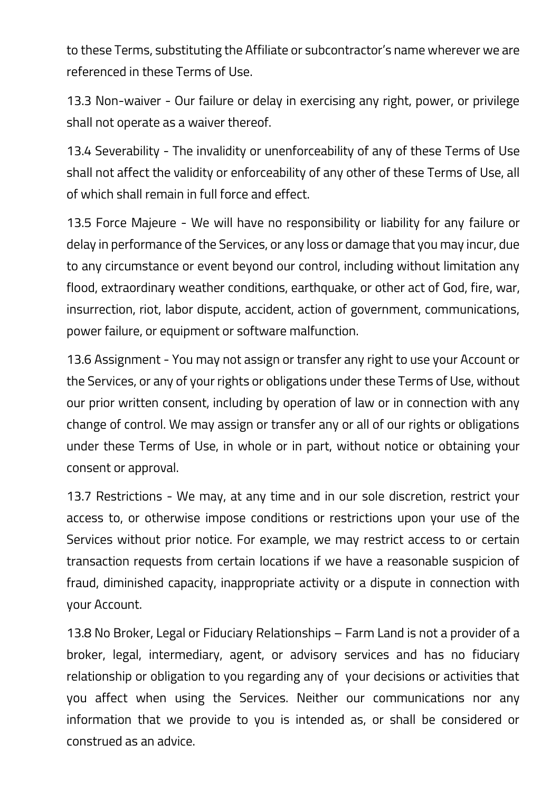to these Terms, substituting the Affiliate or subcontractor's name wherever we are referenced in these Terms of Use.

13.3 Non-waiver - Our failure or delay in exercising any right, power, or privilege shall not operate as a waiver thereof.

13.4 Severability - The invalidity or unenforceability of any of these Terms of Use shall not affect the validity or enforceability of any other of these Terms of Use, all of which shall remain in full force and effect.

13.5 Force Majeure - We will have no responsibility or liability for any failure or delay in performance of the Services, or any loss or damage that you may incur, due to any circumstance or event beyond our control, including without limitation any flood, extraordinary weather conditions, earthquake, or other act of God, fire, war, insurrection, riot, labor dispute, accident, action of government, communications, power failure, or equipment or software malfunction.

13.6 Assignment - You may not assign or transfer any right to use your Account or the Services, or any of your rights or obligations under these Terms of Use, without our prior written consent, including by operation of law or in connection with any change of control. We may assign or transfer any or all of our rights or obligations under these Terms of Use, in whole or in part, without notice or obtaining your consent or approval.

13.7 Restrictions - We may, at any time and in our sole discretion, restrict your access to, or otherwise impose conditions or restrictions upon your use of the Services without prior notice. For example, we may restrict access to or certain transaction requests from certain locations if we have a reasonable suspicion of fraud, diminished capacity, inappropriate activity or a dispute in connection with your Account.

13.8 No Broker, Legal or Fiduciary Relationships – Farm Land is not a provider of a broker, legal, intermediary, agent, or advisory services and has no fiduciary relationship or obligation to you regarding any of your decisions or activities that you affect when using the Services. Neither our communications nor any information that we provide to you is intended as, or shall be considered or construed as an advice.